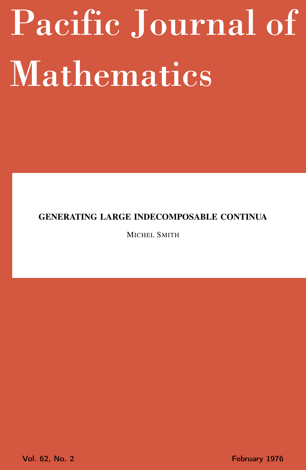# <span id="page-0-0"></span>Pacific Journal of Mathematics

# GENERATING LARGE INDECOMPOSABLE CONTINUA

MICHEL SMITH

Vol. 62, No. 2 **February 1976**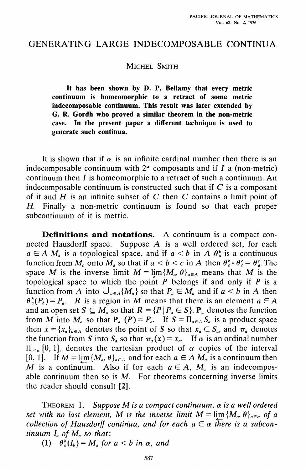# GENERATING LARGE INDECOMPOSABLE CONTINUA

## MICHEL SMITH

It has been shown by D. P. Bellamy that every metric continuum is homeomorphic to a retract of some metric indecomposable continuum. This result was later extended by G. R. Gordh who proved a similar theorem in the non-metric case. In the present paper a different technique is used to generate such continua.

It is shown that if  $\alpha$  is an infinite cardinal number then there is an indecomposable continuum with  $2^{\alpha}$  composants and if I a (non-metric) continuum then  $I$  is homeomorphic to a retract of such a continuum. An indecomposable continuum is constructed such that if  $C$  is a composant of it and  $H$  is an infinite subset of  $C$  then  $C$  contains a limit point of H. Finally a non-metric continuum is found so that each proper subcontinuum of it is metric.

Definitions and notations. A continuum is a compact connected Hausdorff space. Suppose A is a well ordered set, for each  $a \in A$  M<sub>a</sub> is a topological space, and if  $a < b$  in A  $\theta_a^b$  is a continuous function from  $M_b$  onto  $M_a$  so that if  $a < b < c$  in A then  $\theta_a^b \circ \theta_b^c = \theta_a^c$ . The space M is the inverse limit  $M = \lim \{M_a, \theta\}_{a \in A}$  means that M is the topological space to which the point  $P$  belongs if and only if  $P$  is a function from A into  $\bigcup_{a \in A} \{M_a\}$  so that  $P_a \in M_a$  and if  $a < b$  in A then  $\theta_a^b(P_b) = P_a$ . R is a region in M means that there is an element  $a \in A$ and an open set  $S \subseteq M_a$  so that  $R = {P | P_a \in S}$ .  $P_a$  denotes the function from M into  $M_a$  so that  $P_a(P) = P_a$ . If  $S = \prod_{a \in A} S_a$  is a product space then  $x = \{x_a\}_{a \in A}$  denotes the point of S so that  $x_a \in S_a$ , and  $\pi_a$  denotes the function from S into  $S_a$  so that  $\pi_a(x) = x_a$ . If  $\alpha$  is an ordinal number  $\Pi_{i \leq \alpha}$  [0, 1], denotes the cartesian product of  $\alpha$  copies of the interval [0, 1]. If  $M = \lim \{ M_a, \theta \}_{a \in A}$  and for each  $a \in A M_a$  is a continuum then M is a continuum. Also if for each  $a \in A$ ,  $M_a$  is an indecomposable continuum then so is  $M$ . For theorems concerning inverse limits the reader should consult [2].

THEOREM 1. Suppose M is a compact continuum,  $\alpha$  is a well ordered set with no last element, M is the inverse limit  $M = \lim \{M_a, \theta\}_{a \in \alpha}$  of a collection of Hausdorff continua, and for each  $a \in \alpha$  there is a subcontinuum  $I_a$  of  $M_a$  so that:

(1)  $\theta_a^b(I_b) = M_a$  for  $a < b$  in  $\alpha$ , and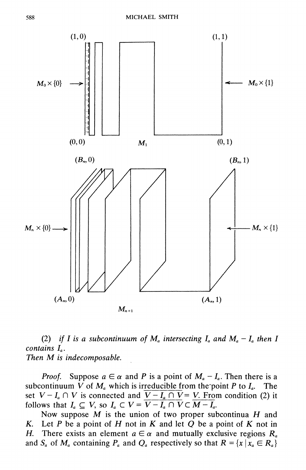

(2) if I is a subcontinuum of  $M_a$  intersecting  $I_a$  and  $M_a - I_a$  then I contains  $I<sub>a</sub>$ . Then M is indecomposable.

Suppose  $a \in \alpha$  and P is a point of  $M_a - I_a$ . Then there is a Proof. subcontinuum V of  $M_a$  which is irreducible from the point P to  $I_a$ . The set  $V - I_a \cap V$  is connected and  $\overline{V - I_a \cap V} = V$ . From condition (2) it follows that  $I_a \subseteq V$ , so  $I_a \subset V = \overline{V - I_a \cap V} \subset \overline{M - I_a}$ .

Now suppose  $M$  is the union of two proper subcontinua  $H$  and Let  $P$  be a point of  $H$  not in  $K$  and let  $Q$  be a point of  $K$  not in K. There exists an element  $a \in \alpha$  and mutually exclusive regions  $R_a$ Н. and  $S_a$  of  $M_a$  containing  $P_a$  and  $Q_a$  respectively so that  $R = \{x \mid x_a \in R_a\}$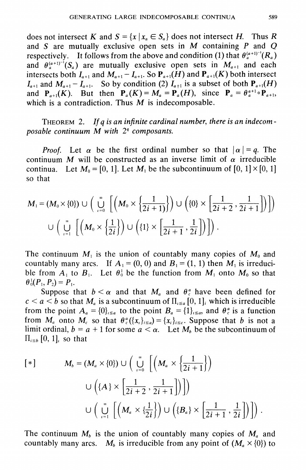does not intersect K and  $S = \{x \mid x_a \in S_a\}$  does not intersect H. Thus R and S are mutually exclusive open sets in  $M$  containing  $P$  and  $Q$ respectively. It follows from the above and condition (1) that  $\theta_a^{(a+1)^{-1}}(R_a)$ and  $\theta_a^{(a+1)^{-1}}(S_a)$  are mutually exclusive open sets in  $M_{a+1}$  and each intersects both  $I_{a+1}$  and  $M_{a+1} - I_{a+1}$ . So  $P_{a+1}(H)$  and  $P_{a+1}(K)$  both intersect  $I_{a+1}$  and  $M_{a+1}-I_{a+1}$ . So by condition (2)  $I_{a+1}$  is a subset of both  $P_{a+1}(H)$ and  $P_{a+1}(K)$ . But then  $P_a(K) = M_a = P_a(H)$ , since  $P_a = \theta_a^{a+1} \circ P_{a+1}$ , which is a contradiction. Thus  $M$  is indecomposable.

THEOREM 2. If *a* is an infinite cardinal number, there is an indecomposable continuum  $M$  with  $2<sup>4</sup>$  composants.

*Proof.* Let  $\alpha$  be the first ordinal number so that  $|\alpha| = q$ . The continuum M will be constructed as an inverse limit of  $\alpha$  irreducible continua. Let  $M_0 = [0, 1]$ . Let  $M_1$  be the subcontinuum of  $[0, 1] \times [0, 1]$ so that

$$
M_1 = (M_0 \times \{0\}) \cup \left( \bigcup_{i=0}^{\infty} \left[ \left( M_0 \times \left\{ \frac{1}{2i+1} \right\} \right) \cup \left( \{0\} \times \left[ \frac{1}{2i+2}, \frac{1}{2i+1} \right] \right) \right] \right)
$$
  

$$
\cup \left( \bigcup_{i=1}^{\infty} \left[ \left( M_0 \times \left\{ \frac{1}{2i} \right\} \right) \cup \left( \{1\} \times \left[ \frac{1}{2i+1}, \frac{1}{2i} \right] \right) \right] \right).
$$

The continuum  $M_1$  is the union of countably many copies of  $M_0$  and countably many arcs. If  $A_1 = (0, 0)$  and  $B_1 = (1, 1)$  then  $M_1$  is irreducible from  $A_1$  to  $B_1$ . Let  $\theta_0^1$  be the function from  $M_1$  onto  $M_0$  so that  $\theta_0^1(P_1, P_2) = P_1.$ 

Suppose that  $b < \alpha$  and that  $M_a$  and  $\theta_c^a$  have been defined for  $c < a < b$  so that  $M_a$  is a subcontinuum of  $\Pi_{a \le a} [0, 1]$  which is irreducible from the point  $A_a = \{0\}_{a \le a}$  to the point  $B_a = \{1\}_{a \le a}$ , and  $\theta_c^a$  is a function from  $M_a$  onto  $M_c$  so that  $\theta_c^a({x_i})_{i\leq a} = {x_i}_{i\leq c}$ . Suppose that b is not a limit ordinal,  $b = a + 1$  for some  $a < \alpha$ . Let  $M_b$  be the subcontinuum of  $\Pi_{i\leq b}$  [0, 1], so that

$$
[*]
$$
\n
$$
M_{b} = (M_{a} \times \{0\}) \cup \left( \bigcup_{i=0}^{\infty} \left[ \left( M_{a} \times \left\{ \frac{1}{2i+1} \right\} \right) \right] \right)
$$
\n
$$
\cup \left( \{A\} \times \left[ \frac{1}{2i+2}, \frac{1}{2i+1} \right] \right) \right)
$$
\n
$$
\cup \left( \bigcup_{i=1}^{\infty} \left[ \left( M_{a} \times \left\{ \frac{1}{2i} \right\} \right) \cup \left( \{B_{a}\} \times \left[ \frac{1}{2i+1}, \frac{1}{2i} \right] \right) \right] \right).
$$

The continuum  $M_b$  is the union of countably many copies of  $M_a$  and countably many arcs.  $M_b$  is irreducible from any point of  $(M_a \times \{0\})$  to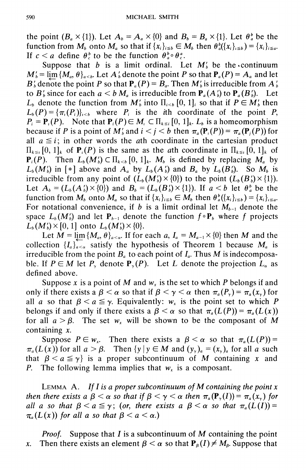the point  $(B_a \times \{1\})$ . Let  $A_b = A_a \times \{0\}$  and  $B_b = B_a \times \{1\}$ . Let  $\theta_a^b$  be the function from  $M_h$  onto  $M_a$  so that if  $\{x_i\}_{i\leq b} \in M_b$  then  $\theta_a^b(\{x_i\}_{i\leq b}) = \{x_i\}_{i\leq a}$ . If  $c < a$  define  $\theta_c^b$  to be the function  $\theta_a^b \circ \theta_c^a$ .

Suppose that b is a limit ordinal. Let  $M'_b$  be the continuum  $M'_b = \lim \{ M_a, \theta \}_{a \le b}$ . Let  $A'_b$  denote the point P so that  $P_a(P) = A_a$  and let  $B'_b$  denote the point P so that  $P_a(P) = B_a$ . Then  $M'_b$  is irreducible from  $A'_b$ to  $B'_b$  since for each  $a < b M_a$  is irreducible from  $P_a(A'_b)$  to  $P_a(B'_b)$ . Let  $L_b$  denote the function from  $M'_b$  into  $\Pi_{i [0, 1]<sub>i</sub> so that if  $P \in M'_b$  then$  $L_b(P) = {\pi_i(P_i)}_{i \le b}$  where  $P_i$  is the *i*th coordinate of the point P,  $P_i = P_i(P)$ . Note that  $P_i(P) \in M_i \subset \prod_{k \leq i} [0, 1]_k$ .  $L_b$  is a homeomorphism because if P is a point of  $M'_b$  and  $i < j < b$  then  $\pi_a(\mathbf{P}_i(P)) = \pi_a(\mathbf{P}_i(P))$  for all  $a \leq i$ ; in other words the ath coordinate in the cartesian product  $\Pi_{k\leq t}$  [0, 1], of  $P_t(P)$  is the same as the *a*th coordinate in  $\Pi_{k\leq t}$  [0, 1], of  ${\bf P}_i(P)$ . Then  $L_b(M'_b) \subset \Pi_{k \le b} [0, 1]_k$ .  $M_b$  is defined by replacing  $M_a$  by  $L_b(M_b)$  in [\*] above and  $A_a$  by  $L_b(A_b)$  and  $B_a$  by  $L_b(B_b)$ . So  $M_b$  is irreducible from any point of  $(L_b(M_b') \times \{0\})$  to the point  $(L_b(B_b') \times \{1\})$ . Let  $A_h = (L_h(A_h^t) \times \{0\})$  and  $B_h = (L_h(B_h^t) \times \{1\})$ . If  $a < b$  let  $\theta_a^b$  be the function from  $M_b$  onto  $M_a$  so that if  $\{x_i\}_{i \leq b} \in M_b$  then  $\theta_a^b(\{x_i\}_{i \leq b}) = \{x_i\}_{i \leq a}$ . For notational convenience, if b is a limit ordinal let  $M_{h-1}$  denote the space  $L_b(M_b)$  and let  $P_{b-1}$  denote the function  $f \circ P_b$  where f projects  $L_b(M'_b) \times [0, 1]$  onto  $L_b(M'_b) \times \{0\}.$ 

Let  $\overline{M} = \lim_{n \to \infty} \{M_a, \theta\}_{a \leq \alpha}$ . If for each  $a, I_a = M_{a-1} \times \{0\}$  then M and the collection  $\{I_a\}_{a\leq \alpha}$  satisfy the hypothesis of Theorem 1 because  $M_a$  is irreducible from the point  $B_a$  to each point of  $I_a$ . Thus M is indecomposable. If  $P \in M$  let  $P_{\gamma}$  denote  $P_{\gamma}(P)$ . Let L denote the projection  $L_{\alpha}$  as defined above.

Suppose x is a point of M and  $w_x$  is the set to which P belongs if and only if there exists a  $\beta < \alpha$  so that if  $\beta < \gamma < \alpha$  then  $\pi_a(P_x) = \pi_a(x)$  for all a so that  $\beta < a \leq \gamma$ . Equivalently:  $w_x$  is the point set to which P belongs if and only if there exists a  $\beta < \alpha$  so that  $\pi_a(L(P)) = \pi_a(L(x))$ for all  $a > \beta$ . The set  $w_r$  will be shown to be the composant of M containing  $x$ .

Suppose  $P \in w_x$ . Then there exists a  $\beta < \alpha$  so that  $\pi_a(L(P))$  =  $\pi_a(L(x))$  for all  $a > \beta$ . Then  $\{y \mid y \in M \text{ and } (y_\gamma)_a = (x_\gamma)_a \text{ for all } a \text{ such that }$ that  $\beta < a \leq \gamma$  is a proper subcontinuum of M containing x and P. The following lemma implies that  $w_x$  is a composant.

LEMMA A. If I is a proper subcontinuum of M containing the point  $x$ then there exists a  $\beta < \alpha$  so that if  $\beta < \gamma < \alpha$  then  $\pi_a(\mathbf{P}_{\gamma}(I)) = \pi_a(x_{\gamma})$  for all a so that  $\beta < a \leq \gamma$ ; (or, there exists a  $\beta < \alpha$  so that  $\pi_a(L(I))$  =  $\pi_a(L(x))$  for all a so that  $\beta < a < \alpha$ .)

*Proof.* Suppose that  $I$  is a subcontinuum of  $M$  containing the point Then there exists an element  $\beta < \alpha$  so that  $P_{\beta}(I) \neq M_{\beta}$ . Suppose that  $\mathfrak{X}.$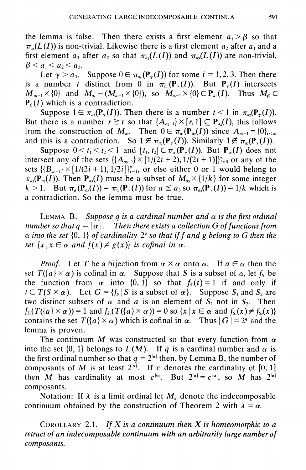the lemma is false. Then there exists a first element  $a_1 > \beta$  so that  $\pi_{a}(L(I))$  is non-trivial. Likewise there is a first element  $a_2$  after  $a_1$  and a first element a, after a, so that  $\pi_{\alpha}(L(I))$  and  $\pi_{\alpha}(L(I))$  are non-trivial,  $\beta < a_1 < a_2 < a_3$ .

Let  $\gamma > a_3$ . Suppose  $0 \in \pi_{a_i}(\mathbf{P}_{\gamma}(I))$  for some  $i = 1, 2, 3$ . Then there is a number t distinct from 0 in  $\pi_a(\mathbf{P}_v(I))$ . But  $\mathbf{P}_v(I)$  intersects  $M_{a-1} \times \{0\}$  and  $M_{a} - (M_{a-1} \times \{0\})$ , so  $M_{a-1} \times \{0\} \subset \mathbf{P}_{a}(I)$ . Thus  $M_{\beta} \subset$  $P_{\beta}(I)$  which is a contradiction.

Suppose  $1 \in \pi_{\alpha}(\mathbf{P}_{\gamma}(I))$ . Then there is a number  $t < 1$  in  $\pi_{\alpha}(\mathbf{P}_{\gamma}(I))$ . But there is a number  $r \geq t$  so that  $\{A_{a-1}\}\times [r, 1] \subseteq P_{a_2}(I)$ , this follows from the construction of  $M_{a_2}$ . Then  $0 \in \pi_{a_1}(\mathbf{P}_{a_2}(I))$  since  $A_{a_2-1} = \{0\}_{1 \le a_2}$ and this is a contradiction. So  $1 \notin \pi_{\alpha_2}(\mathbf{P}_{\gamma}(I))$ . Similarly  $1 \notin \pi_{\alpha_3}(\mathbf{P}_{\gamma}(I))$ .

Suppose  $0 < t_1 < t_2 < 1$  and  $[t_1, t_2] \subset \pi_{a_3}(\mathbf{P}_{\gamma}(I))$ . But  $\mathbf{P}_{a_3}(I)$  does not intersect any of the sets  $\{A_{a-1}\}\times[1/(2i+2), 1/(2i+1)]_{i=0}^{\infty}$  or any of the sets  $\{B_{n-1}\}\times[1/(2i+1),1/2i]\}_{i=1}^{\infty}$ , or else either 0 or 1 would belong to  $\pi_{\omega}(\mathbf{P}_{\omega}(I))$ . Then  $\mathbf{P}_{\omega}(I)$  must be a subset of  $M_{\omega} \times \{1/k\}$  for some integer  $k > 1$ . But  $\pi_a(P_{a_0}(I)) = \pi_a(P_{\gamma}(I))$  for  $a \le a_3$  so  $\pi_{a_0}(P_{\gamma}(I)) = 1/k$  which is a contradiction. So the lemma must be true.

LEMMA B. Suppose q is a cardinal number and  $\alpha$  is the first ordinal number so that  $q = |\alpha|$ . Then there exists a collection G of functions from  $\alpha$  into the set {0, 1} of cardinality 2<sup>*a*</sup> so that if f and g belong to G then the set  $\{x \mid x \in \alpha \text{ and } f(x) \neq g(x)\}\$ is cofinal in  $\alpha$ .

*Proof.* Let T be a bijection from  $\alpha \times \alpha$  onto  $\alpha$ . If  $a \in \alpha$  then the set  $T({a} \times \alpha)$  is cofinal in  $\alpha$ . Suppose that S is a subset of  $\alpha$ , let  $f_s$  be the function from  $\alpha$  into  $\{0, 1\}$  so that  $f_s(t) = 1$  if and only if  $t \in T(S \times \alpha)$ . Let  $G = \{f_s | S \text{ is a subset of } \alpha\}$ . Suppose  $S_1$  and  $S_2$  are two distinct subsets of  $\alpha$  and  $\alpha$  is an element of  $S_1$  not in  $S_2$ . Then  $f_{s_1}(T(\lbrace a \rbrace \times \alpha)) = 1$  and  $f_{s_2}(T(\lbrace a \rbrace \times \alpha)) = 0$  so  $\lbrace x \mid x \in \alpha$  and  $f_{s_1}(x) \neq f_{s_2}(x) \rbrace$ contains the set  $T({a} \times \alpha)$  which is cofinal in  $\alpha$ . Thus  $|G| = 2^q$  and the lemma is proven.

The continuum M was constructed so that every function from  $\alpha$ into the set  $\{0, 1\}$  belongs to  $L(M)$ . If q is a cardinal number and  $\alpha$  is the first ordinal number so that  $q = 2^{|\alpha|}$  then, by Lemma B, the number of composants of M is at least  $2^{|a|}$ . If c denotes the cardinality of [0, 1] then M has cardinality at most  $c^{|\alpha|}$ . But  $2^{|\alpha|} = c^{|\alpha|}$ , so M has  $2^{|\alpha|}$ composants.

Notation: If  $\lambda$  is a limit ordinal let  $M_{\lambda}$  denote the indecomposable continuum obtained by the construction of Theorem 2 with  $\lambda = \alpha$ .

COROLLARY 2.1. If X is a continuum then X is homeomorphic to a retract of an indecomposable continuum with an arbitrarily large number of composants.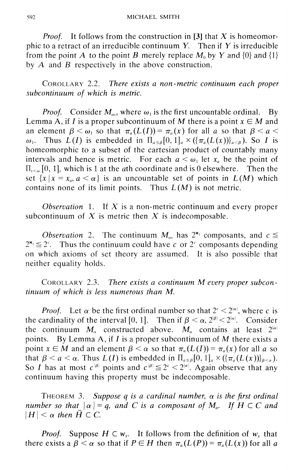*Proof.* It follows from the construction in [3] that X is homeomorphic to a retract of an irreducible continuum  $Y$ . Then if  $Y$  is irreducible from the point A to the point B merely replace  $M_0$  by Y and  $\{0\}$  and  $\{1\}$ by  $A$  and  $B$  respectively in the above construction.

COROLLARY 2.2. There exists a non-metric continuum each proper subcontinuum of which is metric.

*Proof.* Consider  $M_{\text{av}}$ , where  $\omega_1$  is the first uncountable ordinal.  $Bv$ Lemma A, if I is a proper subcontinuum of M there is a point  $x \in M$  and an element  $\beta < \omega_1$  so that  $\pi_a(L(I)) = \pi_a(x)$  for all a so that  $\beta < a <$ Thus  $L(I)$  is embedded in  $\prod_{\alpha \leq \beta} [0,1]_a \times (\{\pi_a(L(x))\}_{a \leq \beta})$ . So I is  $\omega_{1}$ . homeomorphic to a subset of the cartesian product of countably many intervals and hence is metric. For each  $a < \omega_1$  let  $x_a$  be the point of  $\Pi_{\epsilon \leq \omega}$  [0, 1], which is 1 at the *a*th coordinate and is 0 elsewhere. Then the set  $\{x \mid x = x_a, a < \alpha\}$  is an uncountable set of points in  $L(M)$  which contains none of its limit points. Thus  $L(M)$  is not metric.

Observation 1. If  $X$  is a non-metric continuum and every proper subcontinuum of  $X$  is metric then  $X$  is indecomposable.

*Observation* 2. The continuum  $M_{\omega_1}$  has  $2^{\kappa_1}$  composants, and  $c \leq$  $2^{\mathbf{k}_1} \leq 2^c$ . Thus the continuum could have c or  $2^c$  composants depending on which axioms of set theory are assumed. It is also possible that neither equality holds.

COROLLARY 2.3. There exists a continuum M every proper subcontinuum of which is less numerous than M.

*Proof.* Let  $\alpha$  be the first ordinal number so that  $2^c < 2^{|\alpha|}$ , where c is the cardinality of the interval [0, 1]. Then if  $\beta < \alpha$ ,  $2^{|\beta|} < 2^{|\alpha|}$ . Consider the continuum  $M_a$  constructed above.  $M_a$  contains at least  $2^{|a|}$ points. By Lemma A, if  $I$  is a proper subcontinuum of  $M$  there exists a point  $x \in M$  and an element  $\beta < \alpha$  so that  $\pi_a(L(I)) = \pi_a(x)$  for all a so that  $\beta < a < \alpha$ . Thus  $L(I)$  is embedded in  $\Pi_{a \leq \beta}[0,1]_a \times (\{\pi_a(L(x))\}_{a \leq \alpha})$ . So I has at most  $c^{|\beta|}$  points and  $c^{|\beta|} \le 2^c < 2^{|\alpha|}$ . Again observe that any continuum having this property must be indecomposable.

THEOREM 3. Suppose q is a cardinal number,  $\alpha$  is the first ordinal number so that  $|\alpha|=q$ , and C is a composant of M<sub>a</sub>. If  $H \subset C$  and  $|H| < \alpha$  then  $\overline{H} \subset C$ .

*Proof.* Suppose  $H \subset w_{x}$ . It follows from the definition of  $w_{x}$  that there exists a  $\beta < \alpha$  so that if  $P \in H$  then  $\pi_a(L(P)) = \pi_a(L(x))$  for all a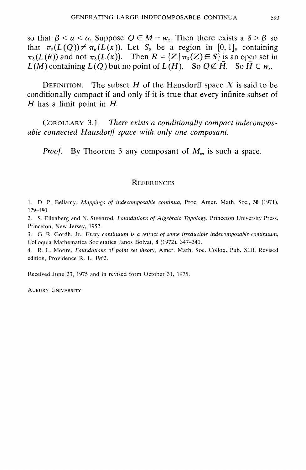so that  $\beta < a < \alpha$ . Suppose  $Q \in M - w_r$ . Then there exists a  $\delta > \beta$  so that  $\pi_{\delta}(L(Q)) \neq \pi_{\delta}(L(x))$ . Let  $S_{\delta}$  be a region in [0, 1], containing  $\pi_{\delta}(L(\theta))$  and not  $\pi_{\delta}(L(x))$ . Then  $R = \{Z \mid \pi_{\delta}(Z) \in S\}$  is an open set in  $L(M)$  containing  $L(Q)$  but no point of  $L(H)$ . So  $Q \notin H$ . So  $H \subseteq w_r$ .

DEFINITION. The subset H of the Hausdorff space X is said to be conditionally compact if and only if it is true that every infinite subset of  $H$  has a limit point in  $H$ .

COROLLARY 3.1. There exists a conditionally compact indecomposable connected Hausdorff space with only one composant.

*Proof.* By Theorem 3 any composant of  $M_{\omega_1}$  is such a space.

### **REFERENCES**

1. D. P. Bellamy, Mappings of indecomposable continua, Proc. Amer. Math. Soc., 30 (1971),  $179 - 180.$ 

2. S. Eilenberg and N. Steenrod, Foundations of Algebraic Topology, Princeton University Press, Princeton, New Jersey, 1952.

3. G. R. Gordh, Jr., Every continuum is a retract of some irreducible indecomposable continuum, Colloquia Mathematica Societaties Janos Bolyai, 8 (1972), 347-340.

4. R. L. Moore, Foundations of point set theory, Amer. Math. Soc. Colloq. Pub. XIII, Revised edition, Providence R. I., 1962.

Received June 23, 1975 and in revised form October 31, 1975.

**AUBURN UNIVERSITY**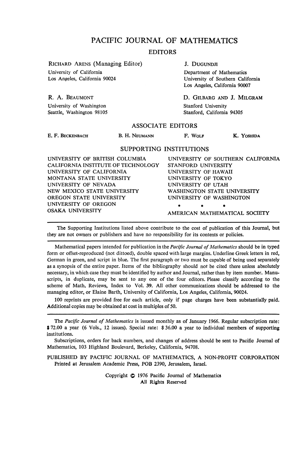## PACIFIC JOURNAL OF MATHEMATICS

#### EDITORS

RICHARD ARENS (Managing Editor) University of California Los Angeles, California 90024

J. DUGUNDJI

Department of Mathematics University of Southern California Los Angeles, California 90007

D. GILBARG AND J. MILGRAM Stanford University Stanford, California 94305

#### ASSOCIATE EDITORS

E. F. BECKENBACH

R. A. BEAUMONT University of Washington Seattle, Washington 98105

B. H. NEUMANN F. WOLF K. YOSHIDA

#### SUPPORTING INSTITUTIONS

UNIVERSITY OF BRITISH COLUMBIA CALIFORNIA INSTITUTE OF TECHNOLOGY UNIVERSITY OF CALIFORNIA MONTANA STATE UNIVERSITY UNIVERSITY OF NEVADA NEW MEXICO STATE UNIVERSITY OREGON STATE UNIVERSITY UNIVERSITY OF OREGON OSAKA UNIVERSITY UNIVERSITY OF SOUTHERN CALIFORNIA STANFORD UNIVERSITY UNIVERSITY OF HAWAII UNIVERSITY OF TOKYO UNIVERSITY OF UTAH WASHINGTON STATE UNIVERSITY UNIVERSITY OF WASHINGTON **• \* •** AMERICAN MATHEMATICAL SOCIETY

The Supporting Institutions listed above contribute to the cost of publication of this Journal, but they are not owners or publishers and have no responsibility for its contents or policies.

Mathematical papers intended for publication in the *Pacific Journal of Mathematics* should be in typed form or offset-reproduced (not dittoed), double spaced with large margins. Underline Greek letters in red, German in green, and script in blue. The first paragraph or two must be capable of being used separately as a synopsis of the entire paper. Items of the bibliography should not be cited there unless absolutely necessary, in which case they must be identified by author and Journal, rather than by item number. Manuscripts, in duplicate, may be sent to any one of the four editors. Please classify according to the scheme of Math. Reviews, Index to Vol. 39. All other communications should be addressed to the managing editor, or Elaine Barth, University of California, Los Angeles, California, 90024.

100 reprints are provided free for each article, only if page charges have been substantially paid. Additional copies may be obtained at cost in multiples of 50.

The *Pacific Journal of Mathematics* is issued monthly as of January 1966. Regular subscription rate: \$ 72.00 a year (6 Vols., 12 issues). Special rate: *%* 36.00 a year to individual members of supporting institutions.

Subscriptions, orders for back numbers, and changes of address should be sent to Pacific Journal of Mathematics, 103 Highland Boulevard, Berkeley, California, 94708.

PUBLISHED BY PACIFIC JOURNAL OF MATHEMATICS, A NON-PROFIT CORPORATION Printed at Jerusalem Academic Press, POB 2390, Jerusalem, Israel.

> Copyright © 1976 Pacific Journal of Mathematics All Rights Reserved